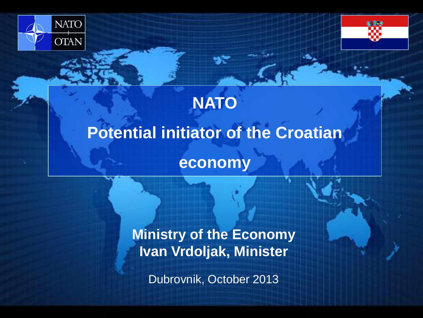



# **NATO Potential initiator of the Croatian economy**

**Ministry of the Economy Ivan Vrdoljak, Minister**

Dubrovnik, October 2013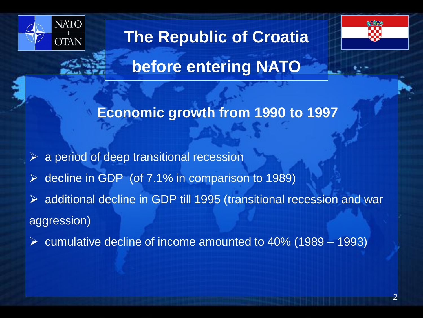

**The Republic of Croatia** 



**before entering NATO**

#### **Economic growth from 1990 to 1997**

 $\triangleright$  a period of deep transitional recession

decline in GDP (of 7.1% in comparison to 1989)

 additional decline in GDP till 1995 (transitional recession and war aggression)

 $\triangleright$  cumulative decline of income amounted to 40% (1989 – 1993)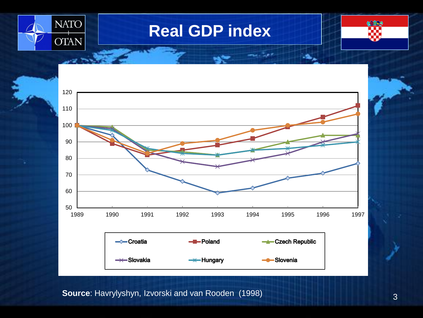

### **Real GDP index**





 **Source**: Havrylyshyn, Izvorski and van Rooden (1998)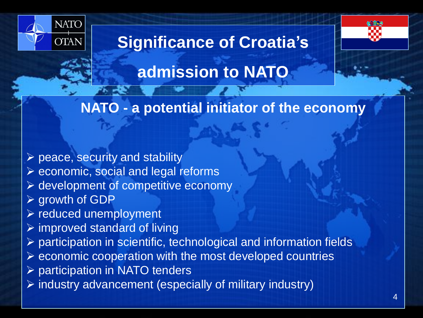

# **Significance of Croatia's**



### **admission to NATO**

#### **NATO - a potential initiator of the economy**

 $\triangleright$  peace, security and stability  $\triangleright$  economic, social and legal reforms development of competitive economy **≻ growth of GDP**  $\triangleright$  reduced unemployment  $\triangleright$  improved standard of living participation in scientific, technological and information fields  $\triangleright$  economic cooperation with the most developed countries ▶ participation in NATO tenders  $\triangleright$  industry advancement (especially of military industry)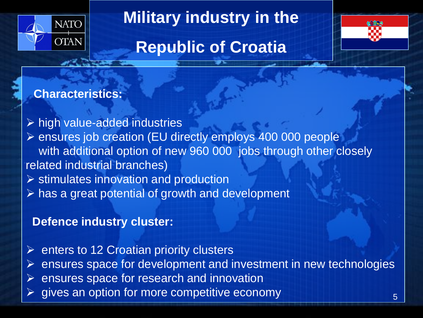

# **Military industry in the**

# **Republic of Croatia**



#### **Characteristics:**

 $\triangleright$  high value-added industries ▶ ensures job creation (EU directly employs 400 000 people with additional option of new 960 000 jobs through other closely related industrial branches)  $\triangleright$  stimulates innovation and production

 $\triangleright$  has a great potential of growth and development

#### **Defence industry cluster:**

 $\triangleright$  enters to 12 Croatian priority clusters  $\triangleright$  ensures space for development and investment in new technologies  $\triangleright$  ensures space for research and innovation gives an option for more competitive economy 5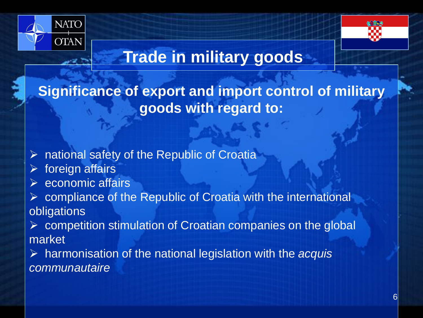



# **Trade in military goods**

**Significance of export and import control of military goods with regard to:**

 $\triangleright$  national safety of the Republic of Croatia

- $\triangleright$  foreign affairs
- economic affairs

 compliance of the Republic of Croatia with the international obligations

 $\triangleright$  competition stimulation of Croatian companies on the global market

 harmonisation of the national legislation with the *acquis communautaire*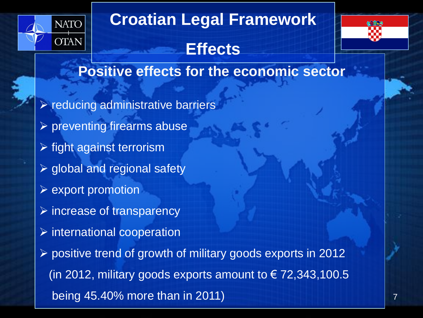

# **Croatian Legal Framework**

**Effects** 



**Positive effects for the economic sector**

 $\triangleright$  reducing administrative barriers  $\triangleright$  preventing firearms abuse  $\triangleright$  fight against terrorism  $\triangleright$  global and regional safety  $\triangleright$  export promotion  $\triangleright$  increase of transparency  $\triangleright$  international cooperation  $\triangleright$  positive trend of growth of military goods exports in 2012 (in 2012, military goods exports amount to  $\in$  72,343,100.5 being 45.40% more than in 2011)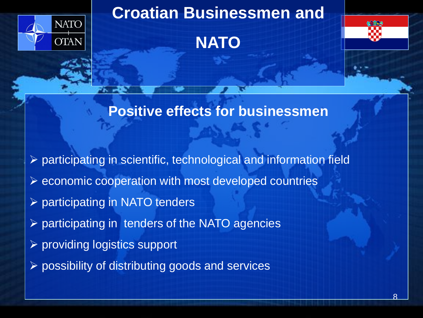

### **Croatian Businessmen and**





#### **Positive effects for businessmen**

- $\triangleright$  participating in scientific, technological and information field
- $\triangleright$  economic cooperation with most developed countries
- $\triangleright$  participating in NATO tenders
- $\triangleright$  participating in tenders of the NATO agencies
- providing logistics support
- $\triangleright$  possibility of distributing goods and services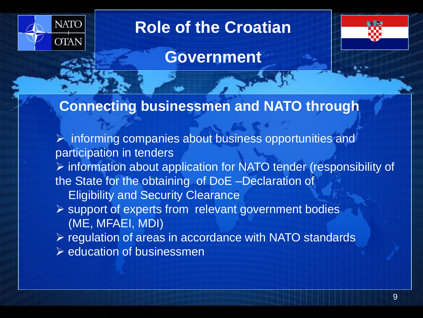

# **Role of the Croatian**



#### **Government**

#### **Connecting businessmen and NATO through**

 $\triangleright$  informing companies about business opportunities and participation in tenders  $\triangleright$  information about application for NATO tender (responsibility of the State for the obtaining of DoE –Declaration of Eligibility and Security Clearance support of experts from relevant government bodies (ME, MFAEI, MDI)  $\triangleright$  regulation of areas in accordance with NATO standards  $\triangleright$  education of businessmen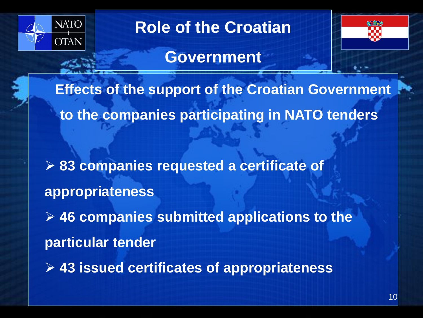

## **Role of the Croatian**



#### **Government**

**Effects of the support of the Croatian Government to the companies participating in NATO tenders**

 **83 companies requested a certificate of appropriateness**

 **46 companies submitted applications to the particular tender**

**43 issued certificates of appropriateness**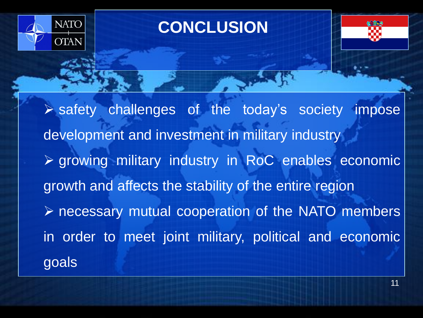

## **CONCLUSION**



 safety challenges of the today's society impose development and investment in military industry growing military industry in RoC enables economic growth and affects the stability of the entire region necessary mutual cooperation of the NATO members in order to meet joint military, political and economic goals